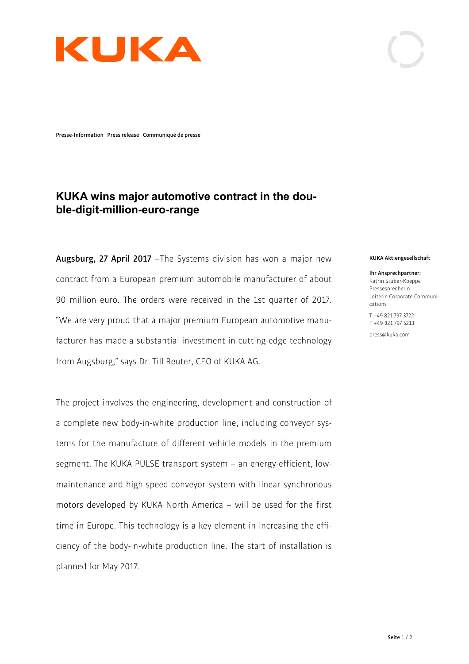

**Presse-Information Press release Communiqué de presse**

## **KUKA wins major automotive contract in the double-digit-million-euro-range**

**Augsburg, 27 April 2017** –The Systems division has won a major new contract from a European premium automobile manufacturer of about 90 million euro. The orders were received in the 1st quarter of 2017. "We are very proud that a major premium European automotive manufacturer has made a substantial investment in cutting-edge technology from Augsburg," says Dr. Till Reuter, CEO of KUKA AG.

The project involves the engineering, development and construction of a complete new body-in-white production line, including conveyor systems for the manufacture of different vehicle models in the premium segment. The KUKA PULSE transport system – an energy-efficient, lowmaintenance and high-speed conveyor system with linear synchronous motors developed by KUKA North America – will be used for the first time in Europe. This technology is a key element in increasing the efficiency of the body-in-white production line. The start of installation is planned for May 2017.

## **KUKA Aktiengesellschaft**

**Ihr Ansprechpartner:**  Katrin Stuber-Koeppe Pressesprecherin Leiterin Corporate Communications

T +49 821 797 3722 F +49 821 797 5213

press@kuka.com